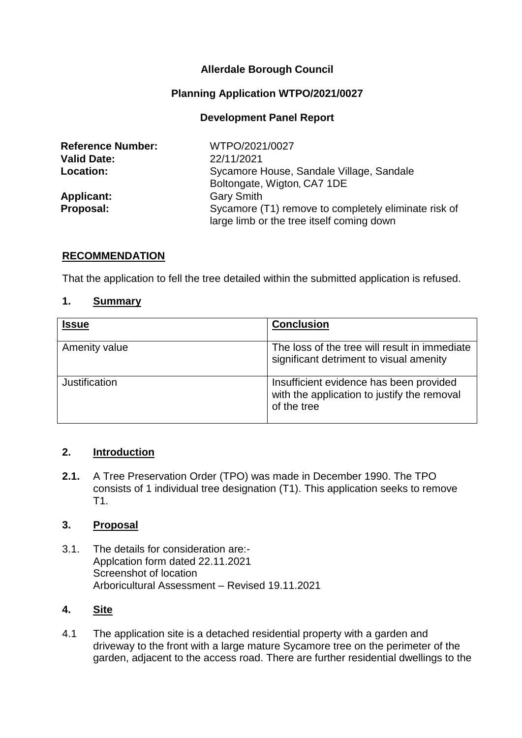# **Allerdale Borough Council**

# **Planning Application WTPO/2021/0027**

## **Development Panel Report**

| <b>Reference Number:</b> | WTPO/2021/0027                                       |
|--------------------------|------------------------------------------------------|
| <b>Valid Date:</b>       | 22/11/2021                                           |
| <b>Location:</b>         | Sycamore House, Sandale Village, Sandale             |
|                          | Boltongate, Wigton, CA7 1DE                          |
| <b>Applicant:</b>        | <b>Gary Smith</b>                                    |
| Proposal:                | Sycamore (T1) remove to completely eliminate risk of |
|                          | large limb or the tree itself coming down            |

#### **RECOMMENDATION**

That the application to fell the tree detailed within the submitted application is refused.

#### **1. Summary**

| <b>Issue</b>  | <b>Conclusion</b>                                                                                     |
|---------------|-------------------------------------------------------------------------------------------------------|
| Amenity value | The loss of the tree will result in immediate<br>significant detriment to visual amenity              |
| Justification | Insufficient evidence has been provided<br>with the application to justify the removal<br>of the tree |

### **2. Introduction**

**2.1.** A Tree Preservation Order (TPO) was made in December 1990. The TPO consists of 1 individual tree designation (T1). This application seeks to remove T1.

#### **3. Proposal**

3.1. The details for consideration are:- Applcation form dated 22.11.2021 Screenshot of location Arboricultural Assessment – Revised 19.11.2021

### **4. Site**

4.1 The application site is a detached residential property with a garden and driveway to the front with a large mature Sycamore tree on the perimeter of the garden, adjacent to the access road. There are further residential dwellings to the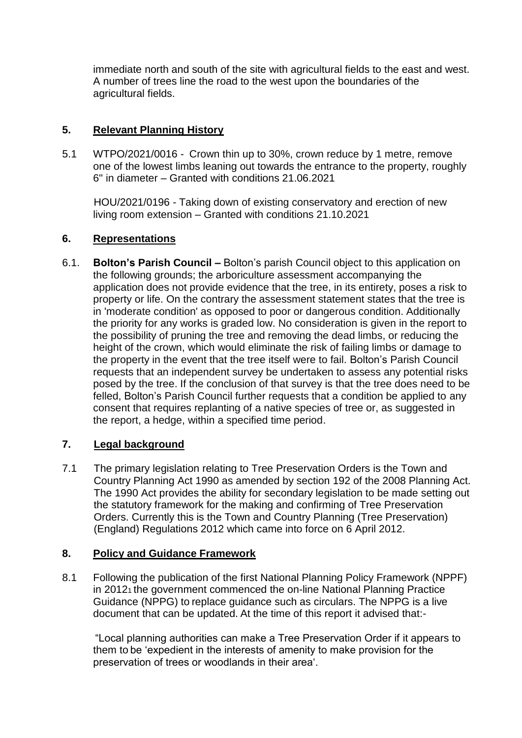immediate north and south of the site with agricultural fields to the east and west. A number of trees line the road to the west upon the boundaries of the agricultural fields.

# **5. Relevant Planning History**

5.1 WTPO/2021/0016 - Crown thin up to 30%, crown reduce by 1 metre, remove one of the lowest limbs leaning out towards the entrance to the property, roughly 6" in diameter – Granted with conditions 21.06.2021

HOU/2021/0196 - Taking down of existing conservatory and erection of new living room extension – Granted with conditions 21.10.2021

# **6. Representations**

6.1. **Bolton's Parish Council –** Bolton's parish Council object to this application on the following grounds; the arboriculture assessment accompanying the application does not provide evidence that the tree, in its entirety, poses a risk to property or life. On the contrary the assessment statement states that the tree is in 'moderate condition' as opposed to poor or dangerous condition. Additionally the priority for any works is graded low. No consideration is given in the report to the possibility of pruning the tree and removing the dead limbs, or reducing the height of the crown, which would eliminate the risk of failing limbs or damage to the property in the event that the tree itself were to fail. Bolton's Parish Council requests that an independent survey be undertaken to assess any potential risks posed by the tree. If the conclusion of that survey is that the tree does need to be felled, Bolton's Parish Council further requests that a condition be applied to any consent that requires replanting of a native species of tree or, as suggested in the report, a hedge, within a specified time period.

# **7. Legal background**

7.1 The primary legislation relating to Tree Preservation Orders is the Town and Country Planning Act 1990 as amended by section 192 of the 2008 Planning Act. The 1990 Act provides the ability for secondary legislation to be made setting out the statutory framework for the making and confirming of Tree Preservation Orders. Currently this is the Town and Country Planning (Tree Preservation) (England) Regulations 2012 which came into force on 6 April 2012.

# **8. Policy and Guidance Framework**

8.1 Following the publication of the first National Planning Policy Framework (NPPF) in 20121 the government commenced the on-line National Planning Practice Guidance (NPPG) to replace guidance such as circulars. The NPPG is a live document that can be updated. At the time of this report it advised that:-

"Local planning authorities can make a Tree Preservation Order if it appears to them to be 'expedient in the interests of amenity to make provision for the preservation of trees or woodlands in their area'.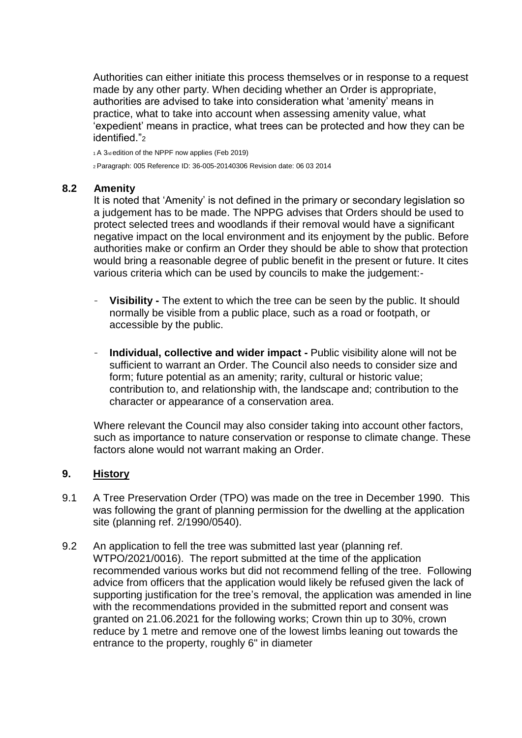Authorities can either initiate this process themselves or in response to a request made by any other party. When deciding whether an Order is appropriate, authorities are advised to take into consideration what 'amenity' means in practice, what to take into account when assessing amenity value, what 'expedient' means in practice, what trees can be protected and how they can be identified."

<sup>1</sup>A 3rd edition of the NPPF now applies (Feb 2019)

<sup>2</sup>Paragraph: 005 Reference ID: 36-005-20140306 Revision date: 06 03 2014

#### **8.2 Amenity**

It is noted that 'Amenity' is not defined in the primary or secondary legislation so a judgement has to be made. The NPPG advises that Orders should be used to protect selected trees and woodlands if their removal would have a significant negative impact on the local environment and its enjoyment by the public. Before authorities make or confirm an Order they should be able to show that protection would bring a reasonable degree of public benefit in the present or future. It cites various criteria which can be used by councils to make the judgement:-

- **Visibility -** The extent to which the tree can be seen by the public. It should normally be visible from a public place, such as a road or footpath, or accessible by the public.
- **Individual, collective and wider impact -** Public visibility alone will not be sufficient to warrant an Order. The Council also needs to consider size and form; future potential as an amenity; rarity, cultural or historic value; contribution to, and relationship with, the landscape and; contribution to the character or appearance of a conservation area.

Where relevant the Council may also consider taking into account other factors, such as importance to nature conservation or response to climate change. These factors alone would not warrant making an Order.

#### **9. History**

- 9.1 A Tree Preservation Order (TPO) was made on the tree in December 1990. This was following the grant of planning permission for the dwelling at the application site (planning ref. 2/1990/0540).
- 9.2 An application to fell the tree was submitted last year (planning ref. WTPO/2021/0016). The report submitted at the time of the application recommended various works but did not recommend felling of the tree. Following advice from officers that the application would likely be refused given the lack of supporting justification for the tree's removal, the application was amended in line with the recommendations provided in the submitted report and consent was granted on 21.06.2021 for the following works; Crown thin up to 30%, crown reduce by 1 metre and remove one of the lowest limbs leaning out towards the entrance to the property, roughly 6" in diameter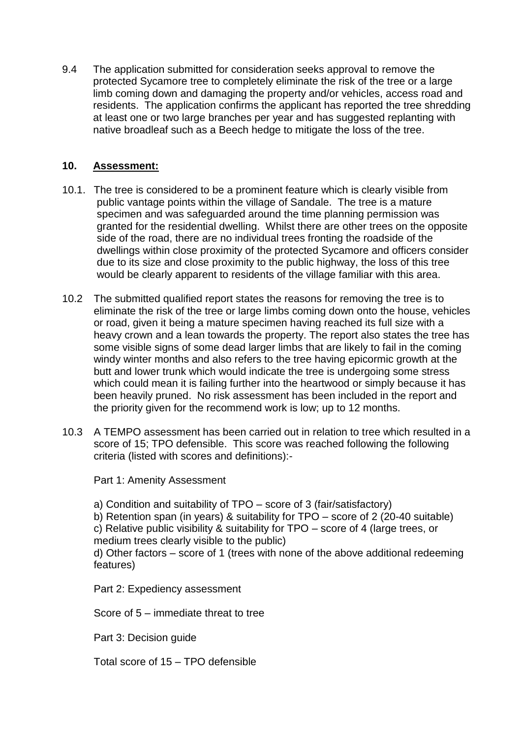9.4 The application submitted for consideration seeks approval to remove the protected Sycamore tree to completely eliminate the risk of the tree or a large limb coming down and damaging the property and/or vehicles, access road and residents. The application confirms the applicant has reported the tree shredding at least one or two large branches per year and has suggested replanting with native broadleaf such as a Beech hedge to mitigate the loss of the tree.

## **10. Assessment:**

- 10.1. The tree is considered to be a prominent feature which is clearly visible from public vantage points within the village of Sandale. The tree is a mature specimen and was safeguarded around the time planning permission was granted for the residential dwelling. Whilst there are other trees on the opposite side of the road, there are no individual trees fronting the roadside of the dwellings within close proximity of the protected Sycamore and officers consider due to its size and close proximity to the public highway, the loss of this tree would be clearly apparent to residents of the village familiar with this area.
- 10.2 The submitted qualified report states the reasons for removing the tree is to eliminate the risk of the tree or large limbs coming down onto the house, vehicles or road, given it being a mature specimen having reached its full size with a heavy crown and a lean towards the property. The report also states the tree has some visible signs of some dead larger limbs that are likely to fail in the coming windy winter months and also refers to the tree having epicormic growth at the butt and lower trunk which would indicate the tree is undergoing some stress which could mean it is failing further into the heartwood or simply because it has been heavily pruned. No risk assessment has been included in the report and the priority given for the recommend work is low; up to 12 months.
- 10.3 A TEMPO assessment has been carried out in relation to tree which resulted in a score of 15; TPO defensible. This score was reached following the following criteria (listed with scores and definitions):-

Part 1: Amenity Assessment

a) Condition and suitability of TPO – score of 3 (fair/satisfactory)

b) Retention span (in years) & suitability for TPO – score of 2 (20-40 suitable)

c) Relative public visibility & suitability for TPO – score of 4 (large trees, or medium trees clearly visible to the public)

d) Other factors – score of 1 (trees with none of the above additional redeeming features)

Part 2: Expediency assessment

Score of 5 – immediate threat to tree

Part 3: Decision guide

Total score of 15 – TPO defensible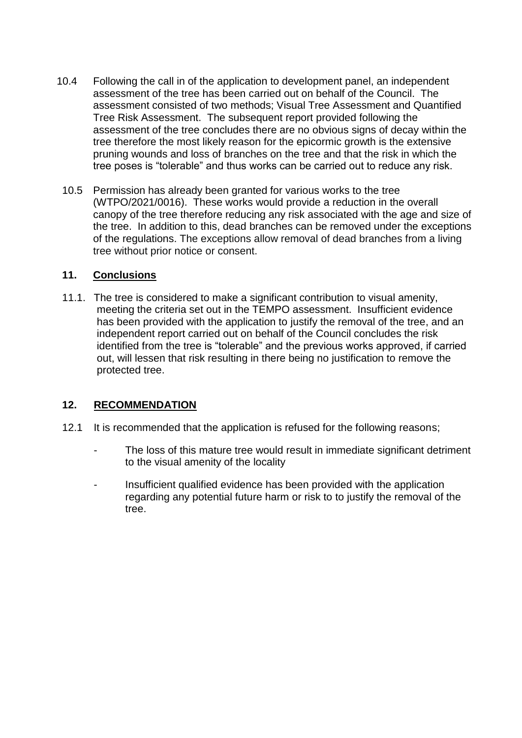- 10.4 Following the call in of the application to development panel, an independent assessment of the tree has been carried out on behalf of the Council. The assessment consisted of two methods; Visual Tree Assessment and Quantified Tree Risk Assessment. The subsequent report provided following the assessment of the tree concludes there are no obvious signs of decay within the tree therefore the most likely reason for the epicormic growth is the extensive pruning wounds and loss of branches on the tree and that the risk in which the tree poses is "tolerable" and thus works can be carried out to reduce any risk.
	- 10.5 Permission has already been granted for various works to the tree (WTPO/2021/0016). These works would provide a reduction in the overall canopy of the tree therefore reducing any risk associated with the age and size of the tree. In addition to this, dead branches can be removed under the exceptions of the regulations. The exceptions allow removal of dead branches from a living tree without prior notice or consent.

### **11. Conclusions**

11.1. The tree is considered to make a significant contribution to visual amenity, meeting the criteria set out in the TEMPO assessment. Insufficient evidence has been provided with the application to justify the removal of the tree, and an independent report carried out on behalf of the Council concludes the risk identified from the tree is "tolerable" and the previous works approved, if carried out, will lessen that risk resulting in there being no justification to remove the protected tree.

#### **12. RECOMMENDATION**

- 12.1 It is recommended that the application is refused for the following reasons;
	- The loss of this mature tree would result in immediate significant detriment to the visual amenity of the locality
	- Insufficient qualified evidence has been provided with the application regarding any potential future harm or risk to to justify the removal of the tree.